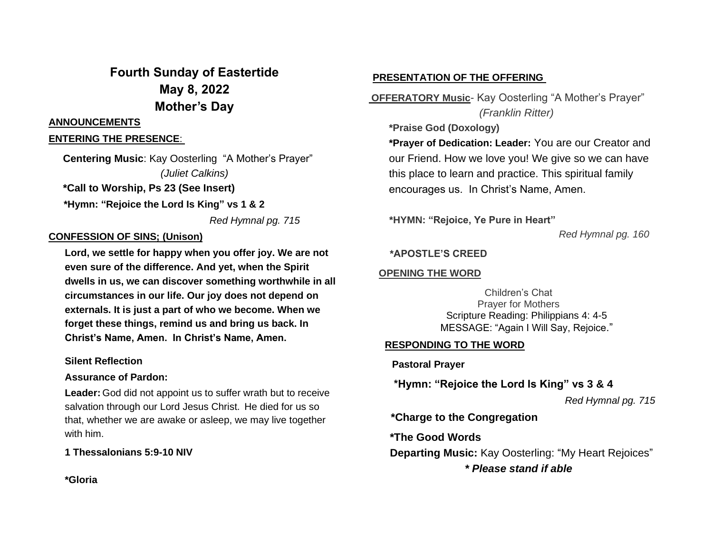# **Fourth Sunday of Eastertide May 8, 2022 Mother's Day**

## **ANNOUNCEMENTS**

# **ENTERING THE PRESENCE**:

 **Centering Music**: Kay Oosterling "A Mother's Prayer" *(Juliet Calkins)*  **\*Call to Worship, Ps 23 (See Insert)**

 **\*Hymn: "Rejoice the Lord Is King" vs 1 & 2**

*Red Hymnal pg. 715*

# **CONFESSION OF SINS; (Unison)**

**Lord, we settle for happy when you offer joy. We are not even sure of the difference. And yet, when the Spirit dwells in us, we can discover something worthwhile in all circumstances in our life. Our joy does not depend on externals. It is just a part of who we become. When we forget these things, remind us and bring us back. In Christ's Name, Amen. In Christ's Name, Amen.**

## **Silent Reflection**

## **Assurance of Pardon:**

**Leader:** God did not appoint us to suffer wrath but to receive salvation through our Lord Jesus Christ. He died for us so that, whether we are awake or asleep, we may live together with him.

# **1 Thessalonians 5:9-10 NIV**

**\*Gloria**

# **PRESENTATION OF THE OFFERING**

**OFFERATORY Music**- Kay Oosterling "A Mother's Prayer" *(Franklin Ritter)*

**\*Praise God (Doxology)**

**\*Prayer of Dedication: Leader:** You are our Creator and our Friend. How we love you! We give so we can have this place to learn and practice. This spiritual family encourages us. In Christ's Name, Amen.

**\*HYMN: "Rejoice, Ye Pure in Heart"**

*Red Hymnal pg. 160*

# **\*APOSTLE'S CREED**

# **OPENING THE WORD**

Children's Chat Prayer for Mothers Scripture Reading: Philippians 4: 4-5 MESSAGE: "Again I Will Say, Rejoice."

# **RESPONDING TO THE WORD**

 **Pastoral Prayer** 

**\*Hymn: "Rejoice the Lord Is King" vs 3 & 4**

*Red Hymnal pg. 715*

 **\*Charge to the Congregation**

 **\*The Good Words**

**Departing Music:** Kay Oosterling: "My Heart Rejoices"

*\* Please stand if able*